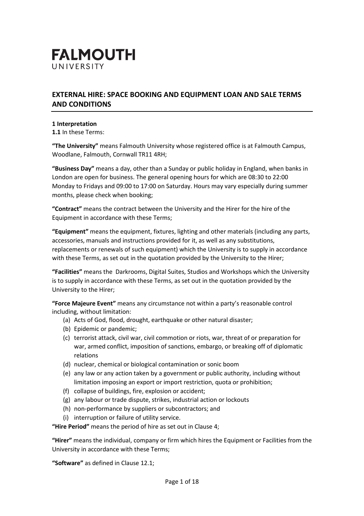

# **EXTERNAL HIRE: SPACE BOOKING AND EQUIPMENT LOAN AND SALE TERMS AND CONDITIONS**

#### **1 Interpretation**

**1.1** In these Terms:

**"The University"** means Falmouth University whose registered office is at Falmouth Campus, Woodlane, Falmouth, Cornwall TR11 4RH;

**"Business Day"** means a day, other than a Sunday or public holiday in England, when banks in London are open for business. The general opening hours for which are 08:30 to 22:00 Monday to Fridays and 09:00 to 17:00 on Saturday. Hours may vary especially during summer months, please check when booking;

**"Contract"** means the contract between the University and the Hirer for the hire of the Equipment in accordance with these Terms;

**"Equipment"** means the equipment, fixtures, lighting and other materials (including any parts, accessories, manuals and instructions provided for it, as well as any substitutions, replacements or renewals of such equipment) which the University is to supply in accordance with these Terms, as set out in the quotation provided by the University to the Hirer;

**"Facilities"** means the Darkrooms, Digital Suites, Studios and Workshops which the University is to supply in accordance with these Terms, as set out in the quotation provided by the University to the Hirer;

**"Force Majeure Event"** means any circumstance not within a party's reasonable control including, without limitation:

- (a) Acts of God, flood, drought, earthquake or other natural disaster;
- (b) Epidemic or pandemic;
- (c) terrorist attack, civil war, civil commotion or riots, war, threat of or preparation for war, armed conflict, imposition of sanctions, embargo, or breaking off of diplomatic relations
- (d) nuclear, chemical or biological contamination or sonic boom
- (e) any law or any action taken by a government or public authority, including without limitation imposing an export or import restriction, quota or prohibition;
- (f) collapse of buildings, fire, explosion or accident;
- (g) any labour or trade dispute, strikes, industrial action or lockouts
- (h) non-performance by suppliers or subcontractors; and
- (i) interruption or failure of utility service.

**"Hire Period"** means the period of hire as set out in Clause 4;

**"Hirer"** means the individual, company or firm which hires the Equipment or Facilities from the University in accordance with these Terms;

**"Software"** as defined in Clause 12.1;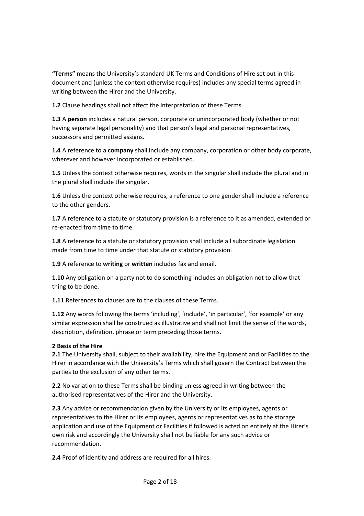**"Terms"** means the University's standard UK Terms and Conditions of Hire set out in this document and (unless the context otherwise requires) includes any special terms agreed in writing between the Hirer and the University.

**1.2** Clause headings shall not affect the interpretation of these Terms.

**1.3** A **person** includes a natural person, corporate or unincorporated body (whether or not having separate legal personality) and that person's legal and personal representatives, successors and permitted assigns.

**1.4** A reference to a **company** shall include any company, corporation or other body corporate, wherever and however incorporated or established.

**1.5** Unless the context otherwise requires, words in the singular shall include the plural and in the plural shall include the singular.

**1.6** Unless the context otherwise requires, a reference to one gender shall include a reference to the other genders.

**1.7** A reference to a statute or statutory provision is a reference to it as amended, extended or re-enacted from time to time.

**1.8** A reference to a statute or statutory provision shall include all subordinate legislation made from time to time under that statute or statutory provision.

**1.9** A reference to **writing** or **written** includes fax and email.

**1.10** Any obligation on a party not to do something includes an obligation not to allow that thing to be done.

**1.11** References to clauses are to the clauses of these Terms.

**1.12** Any words following the terms 'including', 'include', 'in particular', 'for example' or any similar expression shall be construed as illustrative and shall not limit the sense of the words, description, definition, phrase or term preceding those terms.

# **2 Basis of the Hire**

**2.1** The University shall, subject to their availability, hire the Equipment and or Facilities to the Hirer in accordance with the University's Terms which shall govern the Contract between the parties to the exclusion of any other terms.

**2.2** No variation to these Terms shall be binding unless agreed in writing between the authorised representatives of the Hirer and the University.

**2.3** Any advice or recommendation given by the University or its employees, agents or representatives to the Hirer or its employees, agents or representatives as to the storage, application and use of the Equipment or Facilities if followed is acted on entirely at the Hirer's own risk and accordingly the University shall not be liable for any such advice or recommendation.

**2.4** Proof of identity and address are required for all hires.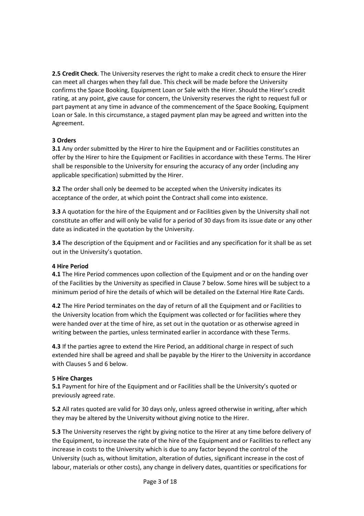**2.5 [Credit](https://www.lawinsider.com/clause/credit-check?cursor=ClUST2oVc35sYXdpbnNpZGVyY29udHJhY3RzcjELEhZDbGF1c2VTbmlwcGV0R3JvdXBfdjMxIhVjcmVkaXQtY2hlY2sjMDAwMDAwMGEMogECZW4YACAA) Check**. The University reserves the right to make a credit check to ensure the Hirer can meet all charges when they fall due. This check will be made before the University confirms the Space Booking, Equipment Loan or Sale with the Hirer. Should the Hirer's credit rating, at any point, give cause for concern, the University reserves the right to request full or part payment at any time in advance of the commencement of the Space Booking, Equipment Loan or Sale. In this circumstance, a staged payment plan may be agreed and written into the Agreement.

## **3 Orders**

**3.1** Any order submitted by the Hirer to hire the Equipment and or Facilities constitutes an offer by the Hirer to hire the Equipment or Facilities in accordance with these Terms. The Hirer shall be responsible to the University for ensuring the accuracy of any order (including any applicable specification) submitted by the Hirer.

**3.2** The order shall only be deemed to be accepted when the University indicates its acceptance of the order, at which point the Contract shall come into existence.

**3.3** A quotation for the hire of the Equipment and or Facilities given by the University shall not constitute an offer and will only be valid for a period of 30 days from its issue date or any other date as indicated in the quotation by the University.

**3.4** The description of the Equipment and or Facilities and any specification for it shall be as set out in the University's quotation.

#### **4 Hire Period**

**4.1** The Hire Period commences upon collection of the Equipment and or on the handing over of the Facilities by the University as specified in Clause 7 below. Some hires will be subject to a minimum period of hire the details of which will be detailed on the External Hire Rate Cards.

**4.2** The Hire Period terminates on the day of return of all the Equipment and or Facilities to the University location from which the Equipment was collected or for facilities where they were handed over at the time of hire, as set out in the quotation or as otherwise agreed in writing between the parties, unless terminated earlier in accordance with these Terms.

**4.3** If the parties agree to extend the Hire Period, an additional charge in respect of such extended hire shall be agreed and shall be payable by the Hirer to the University in accordance with Clauses 5 and 6 below.

#### **5 Hire Charges**

**5.1** Payment for hire of the Equipment and or Facilities shall be the University's quoted or previously agreed rate.

**5.2** All rates quoted are valid for 30 days only, unless agreed otherwise in writing, after which they may be altered by the University without giving notice to the Hirer.

**5.3** The University reserves the right by giving notice to the Hirer at any time before delivery of the Equipment, to increase the rate of the hire of the Equipment and or Facilities to reflect any increase in costs to the University which is due to any factor beyond the control of the University (such as, without limitation, alteration of duties, significant increase in the cost of labour, materials or other costs), any change in delivery dates, quantities or specifications for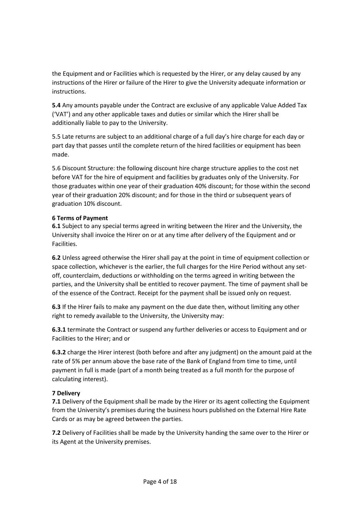the Equipment and or Facilities which is requested by the Hirer, or any delay caused by any instructions of the Hirer or failure of the Hirer to give the University adequate information or instructions.

**5.4** Any amounts payable under the Contract are exclusive of any applicable Value Added Tax ('VAT') and any other applicable taxes and duties or similar which the Hirer shall be additionally liable to pay to the University.

5.5 Late returns are subject to an additional charge of a full day's hire charge for each day or part day that passes until the complete return of the hired facilities or equipment has been made.

5.6 Discount Structure: the following discount hire charge structure applies to the cost net before VAT for the hire of equipment and facilities by graduates only of the University. For those graduates within one year of their graduation 40% discount; for those within the second year of their graduation 20% discount; and for those in the third or subsequent years of graduation 10% discount.

## **6 Terms of Payment**

**6.1** Subject to any special terms agreed in writing between the Hirer and the University, the University shall invoice the Hirer on or at any time after delivery of the Equipment and or Facilities.

**6.2** Unless agreed otherwise the Hirer shall pay at the point in time of equipment collection or space collection, whichever is the earlier, the full charges for the Hire Period without any setoff, counterclaim, deductions or withholding on the terms agreed in writing between the parties, and the University shall be entitled to recover payment. The time of payment shall be of the essence of the Contract. Receipt for the payment shall be issued only on request.

**6.3** If the Hirer fails to make any payment on the due date then, without limiting any other right to remedy available to the University, the University may:

**6.3.1** terminate the Contract or suspend any further deliveries or access to Equipment and or Facilities to the Hirer; and or

**6.3.2** charge the Hirer interest (both before and after any judgment) on the amount paid at the rate of 5% per annum above the base rate of the Bank of England from time to time, until payment in full is made (part of a month being treated as a full month for the purpose of calculating interest).

# **7 Delivery**

**7.1** Delivery of the Equipment shall be made by the Hirer or its agent collecting the Equipment from the University's premises during the business hours published on the External Hire Rate Cards or as may be agreed between the parties.

**7.2** Delivery of Facilities shall be made by the University handing the same over to the Hirer or its Agent at the University premises.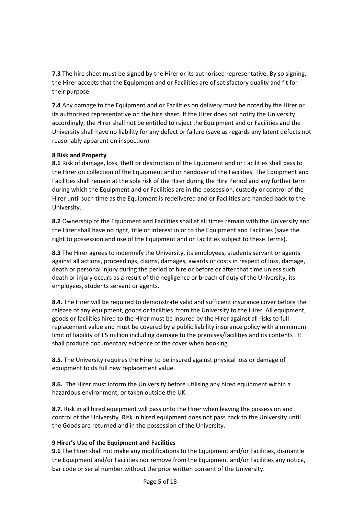**7.3** The hire sheet must be signed by the Hirer or its authorised representative. By so signing, the Hirer accepts that the Equipment and or Facilities are of satisfactory quality and fit for their purpose.

**7.4** Any damage to the Equipment and or Facilities on delivery must be noted by the Hirer or its authorised representative on the hire sheet. If the Hirer does not notify the University accordingly, the Hirer shall not be entitled to reject the Equipment and or Facilities and the University shall have no liability for any defect or failure (save as regards any latent defects not reasonably apparent on inspection).

#### **8 Risk and Property**

**8.1** Risk of damage, loss, theft or destruction of the Equipment and or Facilities shall pass to the Hirer on collection of the Equipment and or handover of the Facilities. The Equipment and Facilities shall remain at the sole risk of the Hirer during the Hire Period and any further term during which the Equipment and or Facilities are in the possession, custody or control of the Hirer until such time as the Equipment is redelivered and or Facilities are handed back to the University.

**8.2** Ownership of the Equipment and Facilities shall at all times remain with the University and the Hirer shall have no right, title or interest in or to the Equipment and Facilities (save the right to possession and use of the Equipment and or Facilities subject to these Terms).

**8.3** The Hirer agrees to indemnify the University, its employees, students servant or agents against all actions, proceedings, claims, damages, awards or costs in respect of loss, damage, death or personal injury during the period of hire or before or after that time unless such death or injury occurs as a result of the negligence or breach of duty of the University, its employees, students servant or agents.

**8.4.** The Hirer will be required to demonstrate valid and sufficient insurance cover before the release of any equipment, goods or facilities from the University to the Hirer. All equipment, goods or facilities hired to the Hirer must be insured by the Hirer against all risks to full replacement value and must be covered by a public liability insurance policy with a minimum limit of liability of £5 million including damage to the premises/facilities and its contents . It shall produce documentary evidence of the cover when booking.

**8.5.** The University requires the Hirer to be insured against physical loss or damage of equipment to its full new replacement value.

**8.6.** The Hirer must inform the University before utilising any hired equipment within a hazardous environment, or taken outside the UK.

**8.7.** Risk in all hired equipment will pass onto the Hirer when leaving the possession and control of the University. Risk in hired equipment does not pass back to the University until the Goods are returned and in the possession of the University.

#### **9 Hirer's Use of the Equipment and Facilities**

**9.1** The Hirer shall not make any modifications to the Equipment and/or Facilities, dismantle the Equipment and/or Facilities nor remove from the Equipment and/or Facilities any notice, bar code or serial number without the prior written consent of the University.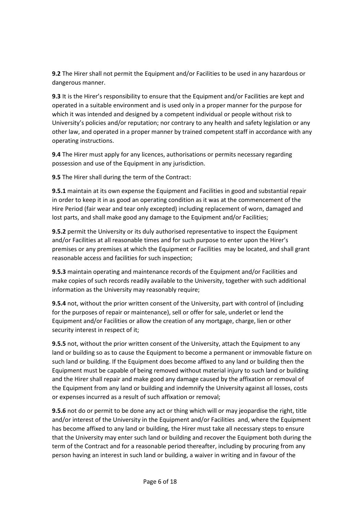**9.2** The Hirer shall not permit the Equipment and/or Facilities to be used in any hazardous or dangerous manner.

**9.3** It is the Hirer's responsibility to ensure that the Equipment and/or Facilities are kept and operated in a suitable environment and is used only in a proper manner for the purpose for which it was intended and designed by a competent individual or people without risk to University's policies and/or reputation; nor contrary to any health and safety legislation or any other law, and operated in a proper manner by trained competent staff in accordance with any operating instructions.

**9.4** The Hirer must apply for any licences, authorisations or permits necessary regarding possession and use of the Equipment in any jurisdiction.

**9.5** The Hirer shall during the term of the Contract:

**9.5.1** maintain at its own expense the Equipment and Facilities in good and substantial repair in order to keep it in as good an operating condition as it was at the commencement of the Hire Period (fair wear and tear only excepted) including replacement of worn, damaged and lost parts, and shall make good any damage to the Equipment and/or Facilities;

**9.5.2** permit the University or its duly authorised representative to inspect the Equipment and/or Facilities at all reasonable times and for such purpose to enter upon the Hirer's premises or any premises at which the Equipment or Facilities may be located, and shall grant reasonable access and facilities for such inspection;

**9.5.3** maintain operating and maintenance records of the Equipment and/or Facilities and make copies of such records readily available to the University, together with such additional information as the University may reasonably require;

**9.5.4** not, without the prior written consent of the University, part with control of (including for the purposes of repair or maintenance), sell or offer for sale, underlet or lend the Equipment and/or Facilities or allow the creation of any mortgage, charge, lien or other security interest in respect of it;

**9.5.5** not, without the prior written consent of the University, attach the Equipment to any land or building so as to cause the Equipment to become a permanent or immovable fixture on such land or building. If the Equipment does become affixed to any land or building then the Equipment must be capable of being removed without material injury to such land or building and the Hirer shall repair and make good any damage caused by the affixation or removal of the Equipment from any land or building and indemnify the University against all losses, costs or expenses incurred as a result of such affixation or removal;

**9.5.6** not do or permit to be done any act or thing which will or may jeopardise the right, title and/or interest of the University in the Equipment and/or Facilities and, where the Equipment has become affixed to any land or building, the Hirer must take all necessary steps to ensure that the University may enter such land or building and recover the Equipment both during the term of the Contract and for a reasonable period thereafter, including by procuring from any person having an interest in such land or building, a waiver in writing and in favour of the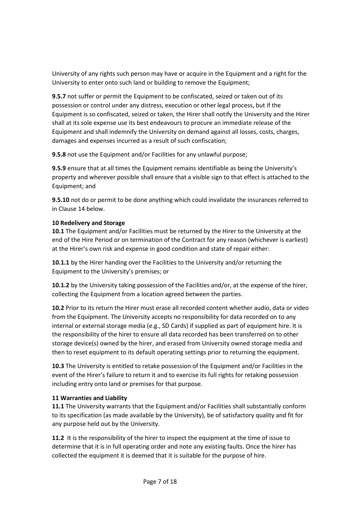University of any rights such person may have or acquire in the Equipment and a right for the University to enter onto such land or building to remove the Equipment;

**9.5.7** not suffer or permit the Equipment to be confiscated, seized or taken out of its possession or control under any distress, execution or other legal process, but if the Equipment is so confiscated, seized or taken, the Hirer shall notify the University and the Hirer shall at its sole expense use its best endeavours to procure an immediate release of the Equipment and shall indemnify the University on demand against all losses, costs, charges, damages and expenses incurred as a result of such confiscation;

**9.5.8** not use the Equipment and/or Facilities for any unlawful purpose;

**9.5.9** ensure that at all times the Equipment remains identifiable as being the University's property and wherever possible shall ensure that a visible sign to that effect is attached to the Equipment; and

**9.5.10** not do or permit to be done anything which could invalidate the insurances referred to in Clause 14 below.

## **10 Redelivery and Storage**

**10.1** The Equipment and/or Facilities must be returned by the Hirer to the University at the end of the Hire Period or on termination of the Contract for any reason (whichever is earliest) at the Hirer's own risk and expense in good condition and state of repair either:

**10.1.1** by the Hirer handing over the Facilities to the University and/or returning the Equipment to the University's premises; or

**10.1.2** by the University taking possession of the Facilities and/or, at the expense of the hirer, collecting the Equipment from a location agreed between the parties.

**10.2** Prior to its return the Hirer must erase all recorded content whether audio, data or video from the Equipment. The University accepts no responsibility for data recorded on to any internal or external storage media (e.g., SD Cards) if supplied as part of equipment hire. It is the responsibility of the hirer to ensure all data recorded has been transferred on to other storage device(s) owned by the hirer, and erased from University owned storage media and then to reset equipment to its default operating settings prior to returning the equipment.

**10.3** The University is entitled to retake possession of the Equipment and/or Facilities in the event of the Hirer's failure to return it and to exercise its full rights for retaking possession including entry onto land or premises for that purpose.

# **11 Warranties and Liability**

**11.1** The University warrants that the Equipment and/or Facilities shall substantially conform to its specification (as made available by the University), be of satisfactory quality and fit for any purpose held out by the University.

**11.2** It is the responsibility of the hirer to inspect the equipment at the time of issue to determine that it is in full operating order and note any existing faults. Once the hirer has collected the equipment it is deemed that it is suitable for the purpose of hire.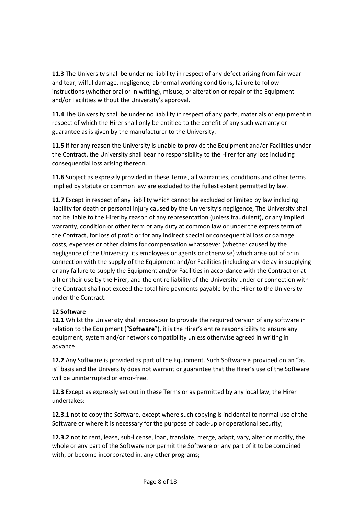**11.3** The University shall be under no liability in respect of any defect arising from fair wear and tear, wilful damage, negligence, abnormal working conditions, failure to follow instructions (whether oral or in writing), misuse, or alteration or repair of the Equipment and/or Facilities without the University's approval.

**11.4** The University shall be under no liability in respect of any parts, materials or equipment in respect of which the Hirer shall only be entitled to the benefit of any such warranty or guarantee as is given by the manufacturer to the University.

**11.5** If for any reason the University is unable to provide the Equipment and/or Facilities under the Contract, the University shall bear no responsibility to the Hirer for any loss including consequential loss arising thereon.

**11.6** Subject as expressly provided in these Terms, all warranties, conditions and other terms implied by statute or common law are excluded to the fullest extent permitted by law.

**11.7** Except in respect of any liability which cannot be excluded or limited by law including liability for death or personal injury caused by the University's negligence, The University shall not be liable to the Hirer by reason of any representation (unless fraudulent), or any implied warranty, condition or other term or any duty at common law or under the express term of the Contract, for loss of profit or for any indirect special or consequential loss or damage, costs, expenses or other claims for compensation whatsoever (whether caused by the negligence of the University, its employees or agents or otherwise) which arise out of or in connection with the supply of the Equipment and/or Facilities (including any delay in supplying or any failure to supply the Equipment and/or Facilities in accordance with the Contract or at all) or their use by the Hirer, and the entire liability of the University under or connection with the Contract shall not exceed the total hire payments payable by the Hirer to the University under the Contract.

## **12 Software**

**12.1** Whilst the University shall endeavour to provide the required version of any software in relation to the Equipment ("**Software**"), it is the Hirer's entire responsibility to ensure any equipment, system and/or network compatibility unless otherwise agreed in writing in advance.

**12.2** Any Software is provided as part of the Equipment. Such Software is provided on an "as is" basis and the University does not warrant or guarantee that the Hirer's use of the Software will be uninterrupted or error-free.

**12.3** Except as expressly set out in these Terms or as permitted by any local law, the Hirer undertakes:

**12.3.1** not to copy the Software, except where such copying is incidental to normal use of the Software or where it is necessary for the purpose of back-up or operational security;

**12.3.2** not to rent, lease, sub-license, loan, translate, merge, adapt, vary, alter or modify, the whole or any part of the Software nor permit the Software or any part of it to be combined with, or become incorporated in, any other programs;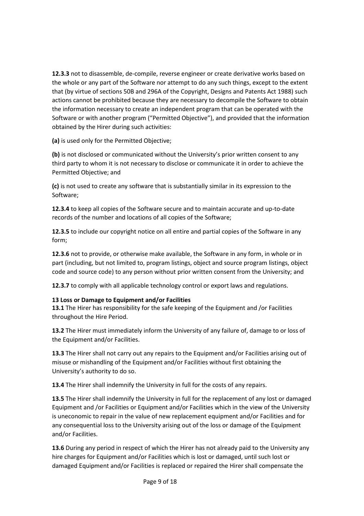**12.3.3** not to disassemble, de-compile, reverse engineer or create derivative works based on the whole or any part of the Software nor attempt to do any such things, except to the extent that (by virtue of sections 50B and 296A of the Copyright, Designs and Patents Act 1988) such actions cannot be prohibited because they are necessary to decompile the Software to obtain the information necessary to create an independent program that can be operated with the Software or with another program ("Permitted Objective"), and provided that the information obtained by the Hirer during such activities:

**(a)** is used only for the Permitted Objective;

**(b)** is not disclosed or communicated without the University's prior written consent to any third party to whom it is not necessary to disclose or communicate it in order to achieve the Permitted Objective; and

**(c)** is not used to create any software that is substantially similar in its expression to the Software;

**12.3.4** to keep all copies of the Software secure and to maintain accurate and up-to-date records of the number and locations of all copies of the Software;

**12.3.5** to include our copyright notice on all entire and partial copies of the Software in any form;

**12.3.6** not to provide, or otherwise make available, the Software in any form, in whole or in part (including, but not limited to, program listings, object and source program listings, object code and source code) to any person without prior written consent from the University; and

**12.3.7** to comply with all applicable technology control or export laws and regulations.

## **13 Loss or Damage to Equipment and/or Facilities**

13.1 The Hirer has responsibility for the safe keeping of the Equipment and /or Facilities throughout the Hire Period.

**13.2** The Hirer must immediately inform the University of any failure of, damage to or loss of the Equipment and/or Facilities.

**13.3** The Hirer shall not carry out any repairs to the Equipment and/or Facilities arising out of misuse or mishandling of the Equipment and/or Facilities without first obtaining the University's authority to do so.

**13.4** The Hirer shall indemnify the University in full for the costs of any repairs.

**13.5** The Hirer shall indemnify the University in full for the replacement of any lost or damaged Equipment and /or Facilities or Equipment and/or Facilities which in the view of the University is uneconomic to repair in the value of new replacement equipment and/or Facilities and for any consequential loss to the University arising out of the loss or damage of the Equipment and/or Facilities.

**13.6** During any period in respect of which the Hirer has not already paid to the University any hire charges for Equipment and/or Facilities which is lost or damaged, until such lost or damaged Equipment and/or Facilities is replaced or repaired the Hirer shall compensate the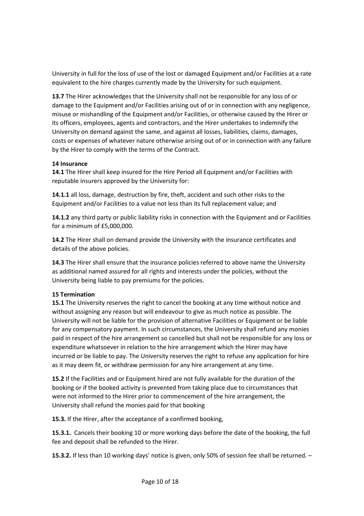University in full for the loss of use of the lost or damaged Equipment and/or Facilities at a rate equivalent to the hire charges currently made by the University for such equipment.

**13.7** The Hirer acknowledges that the University shall not be responsible for any loss of or damage to the Equipment and/or Facilities arising out of or in connection with any negligence, misuse or mishandling of the Equipment and/or Facilities, or otherwise caused by the Hirer or its officers, employees, agents and contractors, and the Hirer undertakes to indemnify the University on demand against the same, and against all losses, liabilities, claims, damages, costs or expenses of whatever nature otherwise arising out of or in connection with any failure by the Hirer to comply with the terms of the Contract.

#### **14 Insurance**

**14.1** The Hirer shall keep insured for the Hire Period all Equipment and/or Facilities with reputable insurers approved by the University for:

**14.1.1** all loss, damage, destruction by fire, theft, accident and such other risks to the Equipment and/or Facilities to a value not less than its full replacement value; and

**14.1.2** any third party or public liability risks in connection with the Equipment and or Facilities for a minimum of £5,000,000.

**14.2** The Hirer shall on demand provide the University with the insurance certificates and details of the above policies.

**14.3** The Hirer shall ensure that the insurance policies referred to above name the University as additional named assured for all rights and interests under the policies, without the University being liable to pay premiums for the policies.

## **15 Termination**

**15.1** The University reserves the right to cancel the booking at any time without notice and without assigning any reason but will endeavour to give as much notice as possible. The University will not be liable for the provision of alternative Facilities or Equipment or be liable for any compensatory payment. In such circumstances, the University shall refund any monies paid in respect of the hire arrangement so cancelled but shall not be responsible for any loss or expenditure whatsoever in relation to the hire arrangement which the Hirer may have incurred or be liable to pay. The University reserves the right to refuse any application for hire as it may deem fit, or withdraw permission for any hire arrangement at any time.

**15.2** If the Facilities and or Equipment hired are not fully available for the duration of the booking or if the booked activity is prevented from taking place due to circumstances that were not informed to the Hirer prior to commencement of the hire arrangement, the University shall refund the monies paid for that booking

**15.3.** If the Hirer, after the acceptance of a confirmed booking,

**15.3.1.** Cancels their booking 10 or more working days before the date of the booking, the full fee and deposit shall be refunded to the Hirer.

**15.3.2.** If less than 10 working days' notice is given, only 50% of session fee shall be returned. –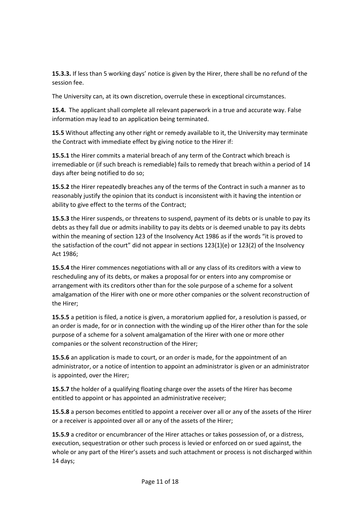**15.3.3.** If less than 5 working days' notice is given by the Hirer, there shall be no refund of the session fee.

The University can, at its own discretion, overrule these in exceptional circumstances.

**15.4.** The applicant shall complete all relevant paperwork in a true and accurate way. False information may lead to an application being terminated.

**15.5** Without affecting any other right or remedy available to it, the University may terminate the Contract with immediate effect by giving notice to the Hirer if:

**15.5.1** the Hirer commits a material breach of any term of the Contract which breach is irremediable or (if such breach is remediable) fails to remedy that breach within a period of 14 days after being notified to do so;

**15.5.2** the Hirer repeatedly breaches any of the terms of the Contract in such a manner as to reasonably justify the opinion that its conduct is inconsistent with it having the intention or ability to give effect to the terms of the Contract;

**15.5.3** the Hirer suspends, or threatens to suspend, payment of its debts or is unable to pay its debts as they fall due or admits inability to pay its debts or is deemed unable to pay its debts within the meaning of section 123 of the Insolvency Act 1986 as if the words "it is proved to the satisfaction of the court" did not appear in sections  $123(1)(e)$  or  $123(2)$  of the Insolvency Act 1986;

**15.5.4** the Hirer commences negotiations with all or any class of its creditors with a view to rescheduling any of its debts, or makes a proposal for or enters into any compromise or arrangement with its creditors other than for the sole purpose of a scheme for a solvent amalgamation of the Hirer with one or more other companies or the solvent reconstruction of the Hirer;

**15.5.5** a petition is filed, a notice is given, a moratorium applied for, a resolution is passed, or an order is made, for or in connection with the winding up of the Hirer other than for the sole purpose of a scheme for a solvent amalgamation of the Hirer with one or more other companies or the solvent reconstruction of the Hirer;

**15.5.6** an application is made to court, or an order is made, for the appointment of an administrator, or a notice of intention to appoint an administrator is given or an administrator is appointed, over the Hirer;

**15.5.7** the holder of a qualifying floating charge over the assets of the Hirer has become entitled to appoint or has appointed an administrative receiver;

**15.5.8** a person becomes entitled to appoint a receiver over all or any of the assets of the Hirer or a receiver is appointed over all or any of the assets of the Hirer;

**15.5.9** a creditor or encumbrancer of the Hirer attaches or takes possession of, or a distress, execution, sequestration or other such process is levied or enforced on or sued against, the whole or any part of the Hirer's assets and such attachment or process is not discharged within 14 days;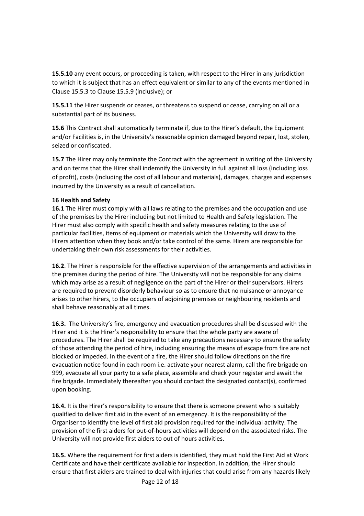**15.5.10** any event occurs, or proceeding is taken, with respect to the Hirer in any jurisdiction to which it is subject that has an effect equivalent or similar to any of the events mentioned in Clause 15.5.3 to Clause 15.5.9 (inclusive); or

**15.5.11** the Hirer suspends or ceases, or threatens to suspend or cease, carrying on all or a substantial part of its business.

**15.6** This Contract shall automatically terminate if, due to the Hirer's default, the Equipment and/or Facilities is, in the University's reasonable opinion damaged beyond repair, lost, stolen, seized or confiscated.

**15.7** The Hirer may only terminate the Contract with the agreement in writing of the University and on terms that the Hirer shall indemnify the University in full against all loss (including loss of profit), costs (including the cost of all labour and materials), damages, charges and expenses incurred by the University as a result of cancellation.

## **16 Health and Safety**

**16.1** The Hirer must comply with all laws relating to the premises and the occupation and use of the premises by the Hirer including but not limited to Health and Safety legislation. The Hirer must also comply with specific health and safety measures relating to the use of particular facilities, items of equipment or materials which the University will draw to the Hirers attention when they book and/or take control of the same. Hirers are responsible for undertaking their own risk assessments for their activities.

**16.2**. The Hirer is responsible for the effective supervision of the arrangements and activities in the premises during the period of hire. The University will not be responsible for any claims which may arise as a result of negligence on the part of the Hirer or their supervisors. Hirers are required to prevent disorderly behaviour so as to ensure that no nuisance or annoyance arises to other hirers, to the occupiers of adjoining premises or neighbouring residents and shall behave reasonably at all times.

**16.3.** The University's fire, emergency and evacuation procedures shall be discussed with the Hirer and it is the Hirer's responsibility to ensure that the whole party are aware of procedures. The Hirer shall be required to take any precautions necessary to ensure the safety of those attending the period of hire, including ensuring the means of escape from fire are not blocked or impeded. In the event of a fire, the Hirer should follow directions on the fire evacuation notice found in each room i.e. activate your nearest alarm, call the fire brigade on 999, evacuate all your party to a safe place, assemble and check your register and await the fire brigade. Immediately thereafter you should contact the designated contact(s), confirmed upon booking.

**16.4.** It is the Hirer's responsibility to ensure that there is someone present who is suitably qualified to deliver first aid in the event of an emergency. It is the responsibility of the Organiser to identify the level of first aid provision required for the individual activity. The provision of the first aiders for out-of-hours activities will depend on the associated risks. The University will not provide first aiders to out of hours activities.

**16.5.** Where the requirement for first aiders is identified, they must hold the First Aid at Work Certificate and have their certificate available for inspection. In addition, the Hirer should ensure that first aiders are trained to deal with injuries that could arise from any hazards likely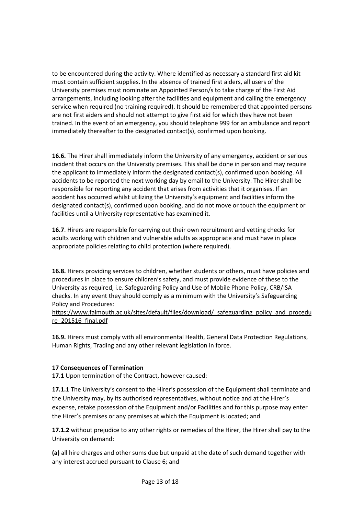to be encountered during the activity. Where identified as necessary a standard first aid kit must contain sufficient supplies. In the absence of trained first aiders, all users of the University premises must nominate an Appointed Person/s to take charge of the First Aid arrangements, including looking after the facilities and equipment and calling the emergency service when required (no training required). It should be remembered that appointed persons are not first aiders and should not attempt to give first aid for which they have not been trained. In the event of an emergency, you should telephone 999 for an ambulance and report immediately thereafter to the designated contact(s), confirmed upon booking.

**16.6.** The Hirer shall immediately inform the University of any emergency, accident or serious incident that occurs on the University premises. This shall be done in person and may require the applicant to immediately inform the designated contact(s), confirmed upon booking. All accidents to be reported the next working day by email to the University. The Hirer shall be responsible for reporting any accident that arises from activities that it organises. If an accident has occurred whilst utilizing the University's equipment and facilities inform the designated contact(s), confirmed upon booking, and do not move or touch the equipment or facilities until a University representative has examined it.

**16.7**. Hirers are responsible for carrying out their own recruitment and vetting checks for adults working with children and vulnerable adults as appropriate and must have in place appropriate policies relating to child protection (where required).

**16.8.** Hirers providing services to children, whether students or others, must have policies and procedures in place to ensure children's safety, and must provide evidence of these to the University as required, i.e. Safeguarding Policy and Use of Mobile Phone Policy, CRB/ISA checks. In any event they should comply as a minimum with the University's Safeguarding Policy and Procedures:

https://www.falmouth.ac.uk/sites/default/files/download/ safeguarding policy and procedu [re\\_201516\\_final.pdf](https://www.falmouth.ac.uk/sites/default/files/download/_safeguarding_policy_and_procedure_201516_final.pdf)

**16.9.** Hirers must comply with all environmental Health, General Data Protection Regulations, Human Rights, Trading and any other relevant legislation in force.

## **17 Consequences of Termination**

**17.1** Upon termination of the Contract, however caused:

**17.1.1** The University's consent to the Hirer's possession of the Equipment shall terminate and the University may, by its authorised representatives, without notice and at the Hirer's expense, retake possession of the Equipment and/or Facilities and for this purpose may enter the Hirer's premises or any premises at which the Equipment is located; and

**17.1.2** without prejudice to any other rights or remedies of the Hirer, the Hirer shall pay to the University on demand:

**(a)** all hire charges and other sums due but unpaid at the date of such demand together with any interest accrued pursuant to Clause 6; and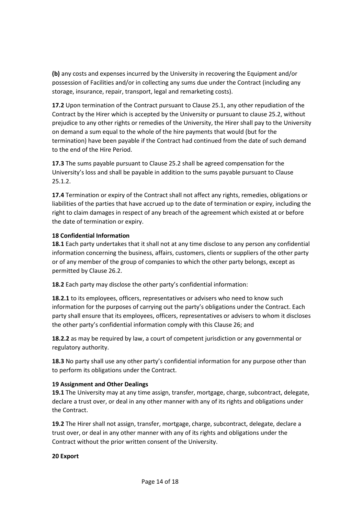**(b)** any costs and expenses incurred by the University in recovering the Equipment and/or possession of Facilities and/or in collecting any sums due under the Contract (including any storage, insurance, repair, transport, legal and remarketing costs).

**17.2** Upon termination of the Contract pursuant to Clause 25.1, any other repudiation of the Contract by the Hirer which is accepted by the University or pursuant to clause 25.2, without prejudice to any other rights or remedies of the University, the Hirer shall pay to the University on demand a sum equal to the whole of the hire payments that would (but for the termination) have been payable if the Contract had continued from the date of such demand to the end of the Hire Period.

**17.3** The sums payable pursuant to Clause 25.2 shall be agreed compensation for the University's loss and shall be payable in addition to the sums payable pursuant to Clause 25.1.2.

**17.4** Termination or expiry of the Contract shall not affect any rights, remedies, obligations or liabilities of the parties that have accrued up to the date of termination or expiry, including the right to claim damages in respect of any breach of the agreement which existed at or before the date of termination or expiry.

## **18 Confidential Information**

**18.1** Each party undertakes that it shall not at any time disclose to any person any confidential information concerning the business, affairs, customers, clients or suppliers of the other party or of any member of the group of companies to which the other party belongs, except as permitted by Clause 26.2.

**18.2** Each party may disclose the other party's confidential information:

**18.2.1** to its employees, officers, representatives or advisers who need to know such information for the purposes of carrying out the party's obligations under the Contract. Each party shall ensure that its employees, officers, representatives or advisers to whom it discloses the other party's confidential information comply with this Clause 26; and

**18.2.2** as may be required by law, a court of competent jurisdiction or any governmental or regulatory authority.

**18.3** No party shall use any other party's confidential information for any purpose other than to perform its obligations under the Contract.

## **19 Assignment and Other Dealings**

**19.1** The University may at any time assign, transfer, mortgage, charge, subcontract, delegate, declare a trust over, or deal in any other manner with any of its rights and obligations under the Contract.

**19.2** The Hirer shall not assign, transfer, mortgage, charge, subcontract, delegate, declare a trust over, or deal in any other manner with any of its rights and obligations under the Contract without the prior written consent of the University.

#### **20 Export**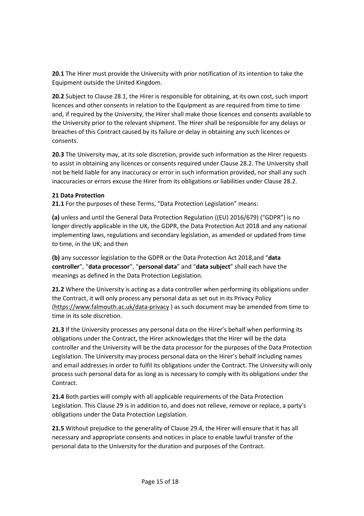**20.1** The Hirer must provide the University with prior notification of its intention to take the Equipment outside the United Kingdom.

**20.2** Subject to Clause 28.1, the Hirer is responsible for obtaining, at its own cost, such import licences and other consents in relation to the Equipment as are required from time to time and, if required by the University, the Hirer shall make those licences and consents available to the University prior to the relevant shipment. The Hirer shall be responsible for any delays or breaches of this Contract caused by its failure or delay in obtaining any such licences or consents.

**20.3** The University may, at its sole discretion, provide such information as the Hirer requests to assist in obtaining any licences or consents required under Clause 28.2. The University shall not be held liable for any inaccuracy or error in such information provided, nor shall any such inaccuracies or errors excuse the Hirer from its obligations or liabilities under Clause 28.2.

## **21 Data Protection**

**21.1** For the purposes of these Terms, "Data Protection Legislation" means:

**(a)** unless and until the General Data Protection Regulation ((EU) 2016/679) ("GDPR") is no longer directly applicable in the UK, the GDPR, the Data Protection Act 2018 and any national implementing laws, regulations and secondary legislation, as amended or updated from time to time, in the UK; and then

**(b)** any successor legislation to the GDPR or the Data Protection Act 2018,and "**data controller**", "**data processor**", "**personal data**" and "**data subject**" shall each have the meanings as defined in the Data Protection Legislation.

**21.2** Where the University is acting as a data controller when performing its obligations under the Contract, it will only process any personal data as set out in its Privacy Policy [\(https://www.falmouth.ac.uk/data-privacy](https://www.falmouth.ac.uk/data-privacy) ) as such document may be amended from time to time in its sole discretion.

**21.3** If the University processes any personal data on the Hirer's behalf when performing its obligations under the Contract, the Hirer acknowledges that the Hirer will be the data controller and the University will be the data processor for the purposes of the Data Protection Legislation. The University may process personal data on the Hirer's behalf including names and email addresses in order to fulfil its obligations under the Contract. The University will only process such personal data for as long as is necessary to comply with its obligations under the Contract.

**21.4** Both parties will comply with all applicable requirements of the Data Protection Legislation. This Clause 29 is in addition to, and does not relieve, remove or replace, a party's obligations under the Data Protection Legislation.

**21.5** Without prejudice to the generality of Clause 29.4, the Hirer will ensure that it has all necessary and appropriate consents and notices in place to enable lawful transfer of the personal data to the University for the duration and purposes of the Contract.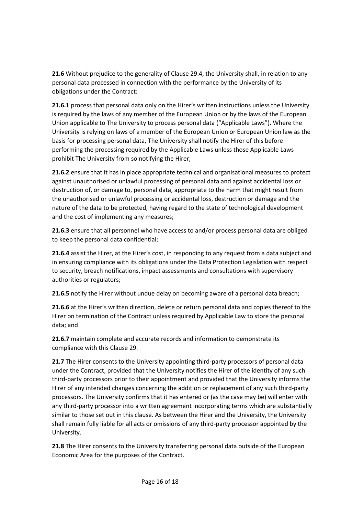**21.6** Without prejudice to the generality of Clause 29.4, the University shall, in relation to any personal data processed in connection with the performance by the University of its obligations under the Contract:

**21.6.1** process that personal data only on the Hirer's written instructions unless the University is required by the laws of any member of the European Union or by the laws of the European Union applicable to The University to process personal data ("Applicable Laws"). Where the University is relying on laws of a member of the European Union or European Union law as the basis for processing personal data, The University shall notify the Hirer of this before performing the processing required by the Applicable Laws unless those Applicable Laws prohibit The University from so notifying the Hirer;

**21.6.2** ensure that it has in place appropriate technical and organisational measures to protect against unauthorised or unlawful processing of personal data and against accidental loss or destruction of, or damage to, personal data, appropriate to the harm that might result from the unauthorised or unlawful processing or accidental loss, destruction or damage and the nature of the data to be protected, having regard to the state of technological development and the cost of implementing any measures;

**21.6.3** ensure that all personnel who have access to and/or process personal data are obliged to keep the personal data confidential;

**21.6.4** assist the Hirer, at the Hirer's cost, in responding to any request from a data subject and in ensuring compliance with its obligations under the Data Protection Legislation with respect to security, breach notifications, impact assessments and consultations with supervisory authorities or regulators;

**21.6.5** notify the Hirer without undue delay on becoming aware of a personal data breach;

**21.6.6** at the Hirer's written direction, delete or return personal data and copies thereof to the Hirer on termination of the Contract unless required by Applicable Law to store the personal data; and

**21.6.7** maintain complete and accurate records and information to demonstrate its compliance with this Clause 29.

**21.7** The Hirer consents to the University appointing third-party processors of personal data under the Contract, provided that the University notifies the Hirer of the identity of any such third-party processors prior to their appointment and provided that the University informs the Hirer of any intended changes concerning the addition or replacement of any such third-party processors. The University confirms that it has entered or (as the case may be) will enter with any third-party processor into a written agreement incorporating terms which are substantially similar to those set out in this clause. As between the Hirer and the University, the University shall remain fully liable for all acts or omissions of any third-party processor appointed by the University.

**21.8** The Hirer consents to the University transferring personal data outside of the European Economic Area for the purposes of the Contract.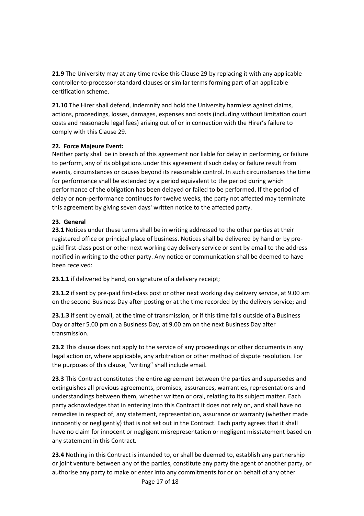**21.9** The University may at any time revise this Clause 29 by replacing it with any applicable controller-to-processor standard clauses or similar terms forming part of an applicable certification scheme.

**21.10** The Hirer shall defend, indemnify and hold the University harmless against claims, actions, proceedings, losses, damages, expenses and costs (including without limitation court costs and reasonable legal fees) arising out of or in connection with the Hirer's failure to comply with this Clause 29.

#### **22. Force Majeure Event:**

Neither party shall be in breach of this agreement nor liable for delay in performing, or failure to perform, any of its obligations under this agreement if such delay or failure result from events, circumstances or causes beyond its reasonable control. In such circumstances the time for performance shall be extended by a period equivalent to the period during which performance of the obligation has been delayed or failed to be performed. If the period of delay or non-performance continues for twelve weeks, the party not affected may terminate this agreement by giving seven days' written notice to the affected party.

#### **23. General**

**23.1** Notices under these terms shall be in writing addressed to the other parties at their registered office or principal place of business. Notices shall be delivered by hand or by prepaid first-class post or other next working day delivery service or sent by email to the address notified in writing to the other party. Any notice or communication shall be deemed to have been received:

**23.1.1** if delivered by hand, on signature of a delivery receipt;

**23.1.2** if sent by pre-paid first-class post or other next working day delivery service, at 9.00 am on the second Business Day after posting or at the time recorded by the delivery service; and

**23.1.3** if sent by email, at the time of transmission, or if this time falls outside of a Business Day or after 5.00 pm on a Business Day, at 9.00 am on the next Business Day after transmission.

**23.2** This clause does not apply to the service of any proceedings or other documents in any legal action or, where applicable, any arbitration or other method of dispute resolution. For the purposes of this clause, "writing" shall include email.

**23.3** This Contract constitutes the entire agreement between the parties and supersedes and extinguishes all previous agreements, promises, assurances, warranties, representations and understandings between them, whether written or oral, relating to its subject matter. Each party acknowledges that in entering into this Contract it does not rely on, and shall have no remedies in respect of, any statement, representation, assurance or warranty (whether made innocently or negligently) that is not set out in the Contract. Each party agrees that it shall have no claim for innocent or negligent misrepresentation or negligent misstatement based on any statement in this Contract.

**23.4** Nothing in this Contract is intended to, or shall be deemed to, establish any partnership or joint venture between any of the parties, constitute any party the agent of another party, or authorise any party to make or enter into any commitments for or on behalf of any other